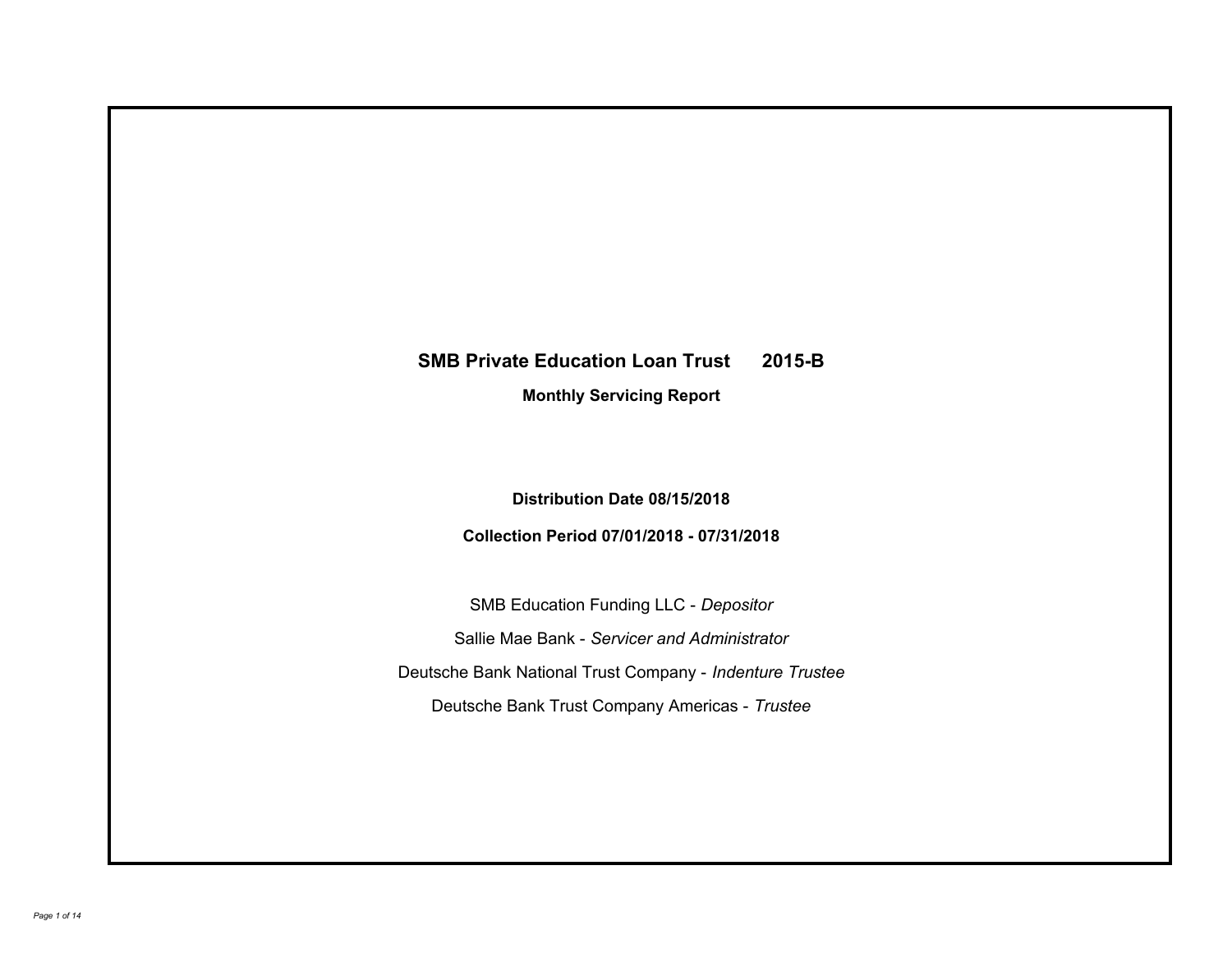# **SMB Private Education Loan Trust 2015-B**

**Monthly Servicing Report**

**Distribution Date 08/15/2018**

**Collection Period 07/01/2018 - 07/31/2018**

SMB Education Funding LLC - *Depositor* Sallie Mae Bank - *Servicer and Administrator* Deutsche Bank National Trust Company - *Indenture Trustee* Deutsche Bank Trust Company Americas - *Trustee*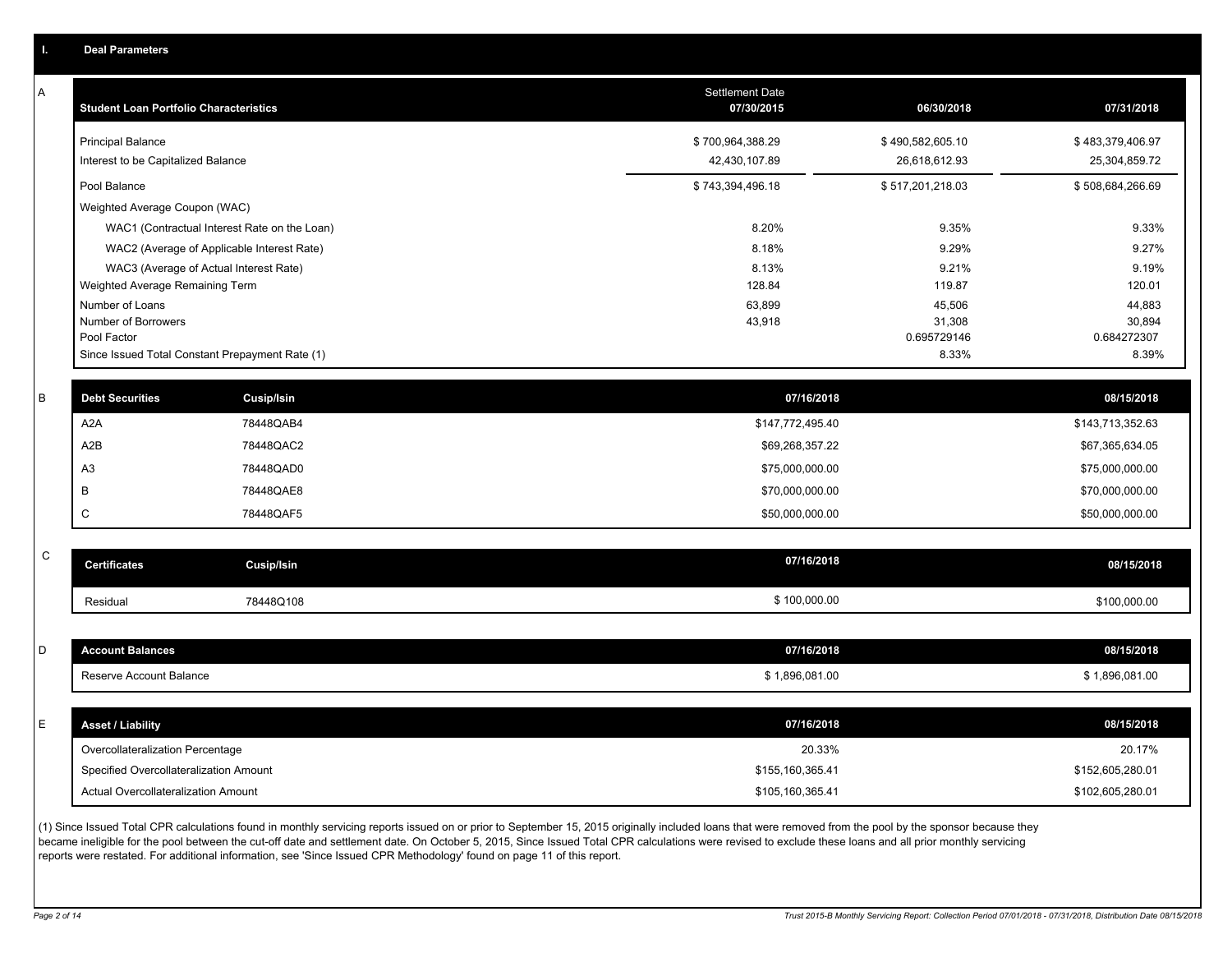|  | <b>Deal Parameters</b> |  |
|--|------------------------|--|
|  |                        |  |
|  |                        |  |

A

| <b>Student Loan Portfolio Characteristics</b>                  | <b>Settlement Date</b><br>07/30/2015 | 06/30/2018                        | 07/31/2018                        |
|----------------------------------------------------------------|--------------------------------------|-----------------------------------|-----------------------------------|
| <b>Principal Balance</b><br>Interest to be Capitalized Balance | \$700,964,388.29<br>42,430,107.89    | \$490,582,605.10<br>26,618,612.93 | \$483,379,406.97<br>25,304,859.72 |
| Pool Balance                                                   | \$743,394,496.18                     | \$517,201,218.03                  | \$508,684,266.69                  |
| Weighted Average Coupon (WAC)                                  |                                      |                                   |                                   |
| WAC1 (Contractual Interest Rate on the Loan)                   | 8.20%                                | 9.35%                             | 9.33%                             |
| WAC2 (Average of Applicable Interest Rate)                     | 8.18%                                | 9.29%                             | 9.27%                             |
| WAC3 (Average of Actual Interest Rate)                         | 8.13%                                | 9.21%                             | 9.19%                             |
| Weighted Average Remaining Term                                | 128.84                               | 119.87                            | 120.01                            |
| Number of Loans                                                | 63,899                               | 45,506                            | 44,883                            |
| Number of Borrowers                                            | 43,918                               | 31,308                            | 30,894                            |
| Pool Factor                                                    |                                      | 0.695729146                       | 0.684272307                       |
| Since Issued Total Constant Prepayment Rate (1)                |                                      | 8.33%                             | 8.39%                             |

| <b>Debt Securities</b> | <b>Cusip/Isin</b> | 07/16/2018       | 08/15/2018       |
|------------------------|-------------------|------------------|------------------|
| A <sub>2</sub> A       | 78448QAB4         | \$147,772,495.40 | \$143,713,352.63 |
| A2B                    | 78448QAC2         | \$69,268,357.22  | \$67,365,634.05  |
| A3                     | 78448QAD0         | \$75,000,000.00  | \$75,000,000.00  |
|                        | 78448QAE8         | \$70,000,000.00  | \$70,000,000.00  |
|                        | 78448QAF5         | \$50,000,000.00  | \$50,000,000.00  |

| $\sim$<br>◡ | <b>Certificates</b> | Cusip/Isin | 07/16/2018   | 08/15/2018   |
|-------------|---------------------|------------|--------------|--------------|
|             | Residual            | 78448Q108  | \$100,000.00 | \$100,000.00 |

| D  | <b>Account Balances</b>          | 07/16/2018     | 08/15/2018     |
|----|----------------------------------|----------------|----------------|
|    | Reserve Account Balance          | \$1,896,081.00 | \$1,896,081.00 |
|    |                                  |                |                |
| E. | <b>Asset / Liability</b>         | 07/16/2018     | 08/15/2018     |
|    |                                  |                |                |
|    | Overcollateralization Percentage | 20.33%         | 20.17%         |

(1) Since Issued Total CPR calculations found in monthly servicing reports issued on or prior to September 15, 2015 originally included loans that were removed from the pool by the sponsor because they became ineligible for the pool between the cut-off date and settlement date. On October 5, 2015, Since Issued Total CPR calculations were revised to exclude these loans and all prior monthly servicing reports were restated. For additional information, see 'Since Issued CPR Methodology' found on page 11 of this report.

Actual Overcollateralization Amount \$105,160,365.41

\$102,605,280.01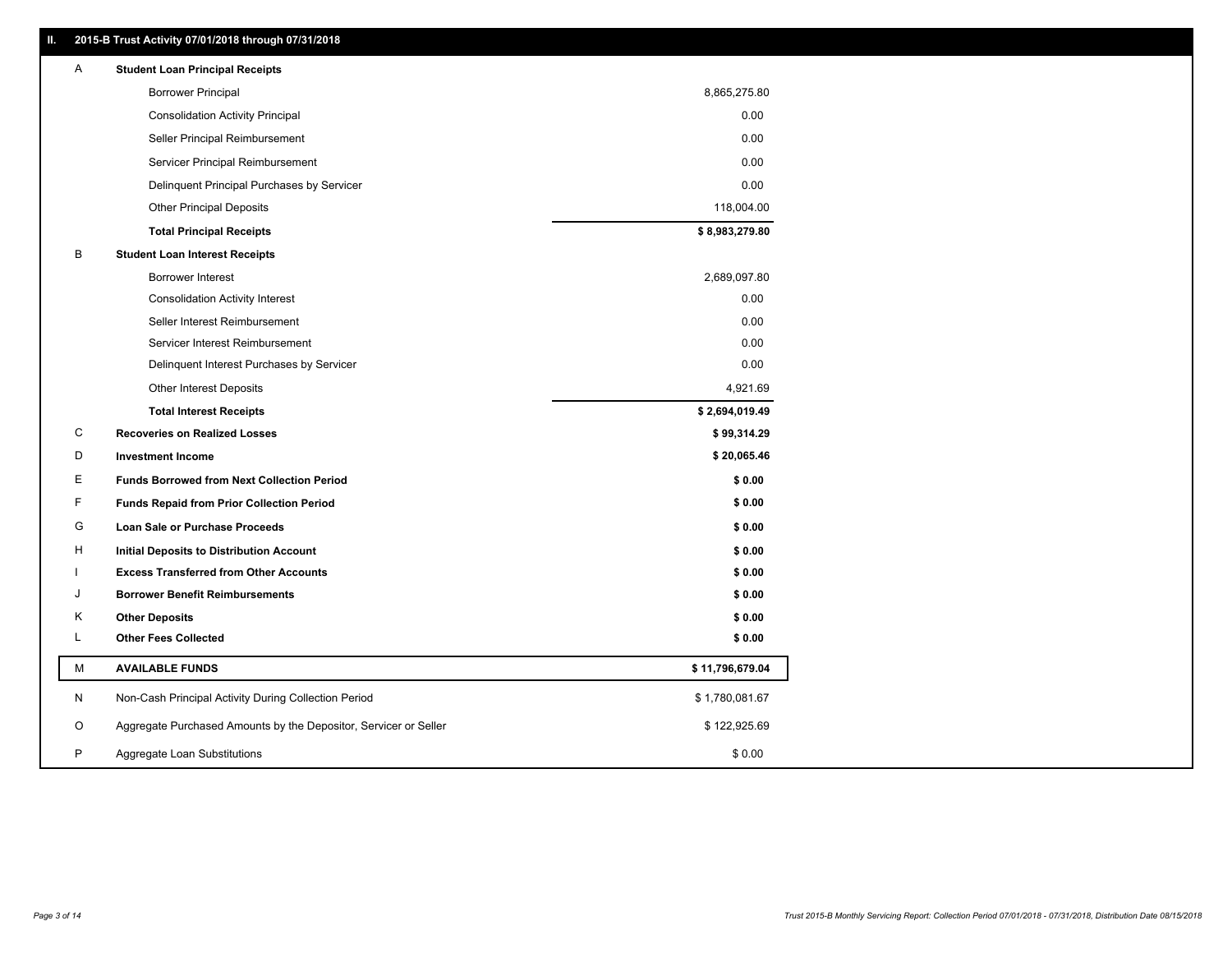| A | <b>Student Loan Principal Receipts</b>                           |                 |
|---|------------------------------------------------------------------|-----------------|
|   | <b>Borrower Principal</b>                                        | 8,865,275.80    |
|   | <b>Consolidation Activity Principal</b>                          | 0.00            |
|   | Seller Principal Reimbursement                                   | 0.00            |
|   | Servicer Principal Reimbursement                                 | 0.00            |
|   | Delinquent Principal Purchases by Servicer                       | 0.00            |
|   | <b>Other Principal Deposits</b>                                  | 118,004.00      |
|   | <b>Total Principal Receipts</b>                                  | \$8,983,279.80  |
| В | <b>Student Loan Interest Receipts</b>                            |                 |
|   | Borrower Interest                                                | 2,689,097.80    |
|   | <b>Consolidation Activity Interest</b>                           | 0.00            |
|   | Seller Interest Reimbursement                                    | 0.00            |
|   | Servicer Interest Reimbursement                                  | 0.00            |
|   | Delinquent Interest Purchases by Servicer                        | 0.00            |
|   | <b>Other Interest Deposits</b>                                   | 4,921.69        |
|   | <b>Total Interest Receipts</b>                                   | \$2,694,019.49  |
|   |                                                                  |                 |
| С | <b>Recoveries on Realized Losses</b>                             | \$99,314.29     |
| D | <b>Investment Income</b>                                         | \$20,065.46     |
| Е | <b>Funds Borrowed from Next Collection Period</b>                | \$0.00          |
| F | <b>Funds Repaid from Prior Collection Period</b>                 | \$0.00          |
| G | Loan Sale or Purchase Proceeds                                   | \$0.00          |
| н | Initial Deposits to Distribution Account                         | \$0.00          |
|   | <b>Excess Transferred from Other Accounts</b>                    | \$0.00          |
| J | <b>Borrower Benefit Reimbursements</b>                           | \$0.00          |
| Κ | <b>Other Deposits</b>                                            | \$0.00          |
| Г | <b>Other Fees Collected</b>                                      | \$0.00          |
| М | <b>AVAILABLE FUNDS</b>                                           | \$11,796,679.04 |
| N | Non-Cash Principal Activity During Collection Period             | \$1,780,081.67  |
| O | Aggregate Purchased Amounts by the Depositor, Servicer or Seller | \$122,925.69    |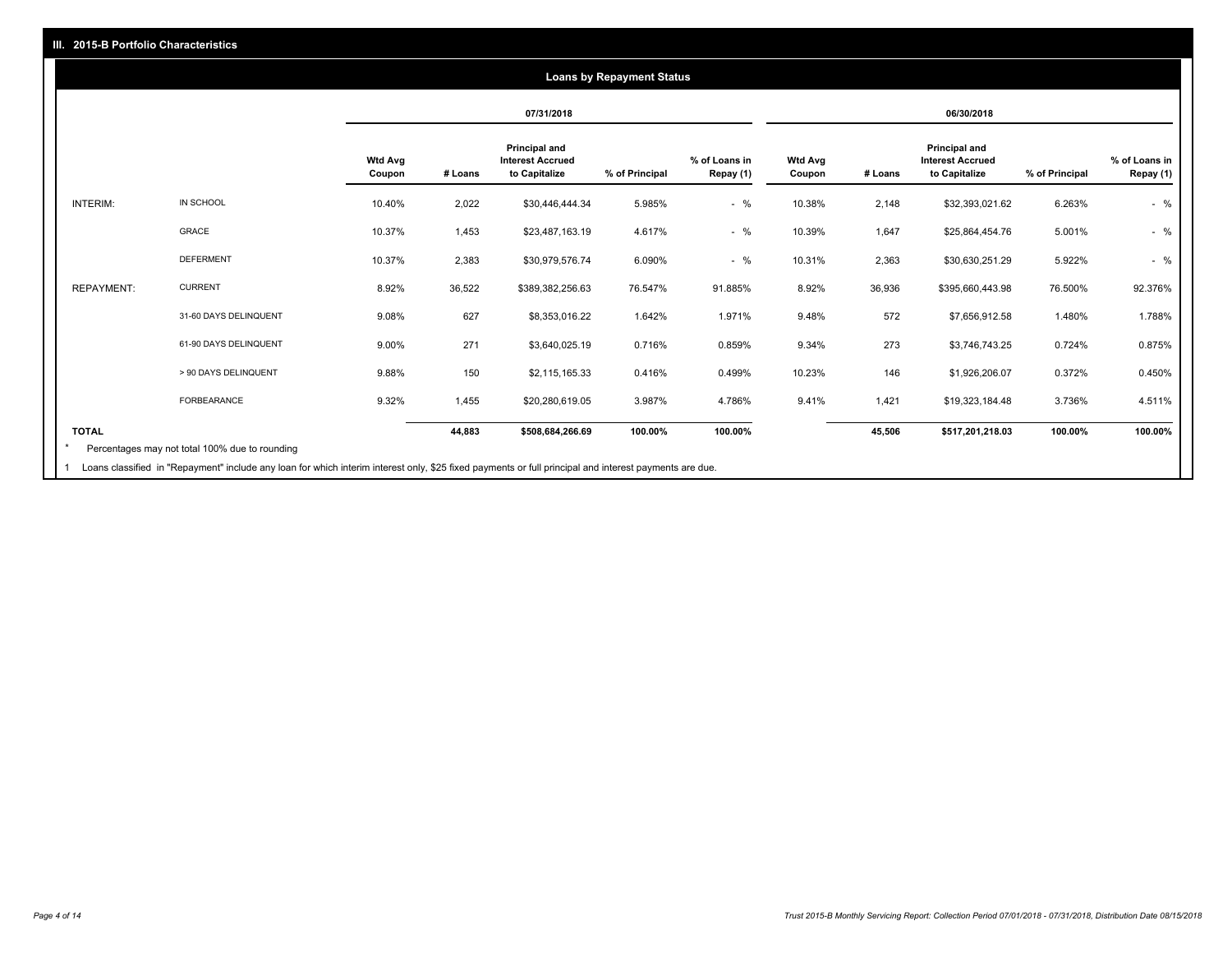# **07/31/2018 06/30/2018 Wtd Avg Coupon # Loans Principal and Interest Accrued to Capitalize % of Principal % of Loans in Repay (1) Wtd Avg Coupon # Loans Principal and Interest Accrued to Capitalize % of Principal % of Loans in Repay (1)**  INTERIM: IN SCHOOL 10.40% 2,022 \$30,446,444.34 5.985% - % 10.38% 2,148 \$32,393,021.62 6.263% - % GRACE 10.37% 1,453 \$23,487,163.19 4.617% - % 10.39% 1,647 \$25,864,454.76 5.001% - % DEFERMENT 10.37% 2,383 \$30,979,576.74 6.090% - % 10.31% 2,363 \$30,630,251.29 5.922% - % REPAYMENT: CURRENT 8.92% 36,522 \$389,382,256.63 76.547% 91.885% 8.92% 36,936 \$395,660,443.98 76.500% 92.376% 31-60 DAYS DELINQUENT 9.08% 627 \$8,353,016.22 1.642% 1.971% 9.48% 572 \$7,656,912.58 1.480% 1.788% 61-90 DAYS DELINQUENT 9.00% 271 \$3,640,025.19 0.716% 0.859% 9.34% 273 \$3,746,743.25 0.724% 0.875% > 90 DAYS DELINQUENT 9.88% 150 \$2,115,165.33 0.416% 0.499% 10.23% 146 \$1,926,206.07 0.372% 0.450% FORBEARANCE 9.32% 1,455 \$20,280,619.05 3.987% 4.786% 9.41% 1,421 \$19,323,184.48 3.736% 4.511% **TOTAL 44,883 \$508,684,266.69 100.00% 100.00% 45,506 \$517,201,218.03 100.00% 100.00% Loans by Repayment Status** Percentages may not total 100% due to rounding \*

Loans classified in "Repayment" include any loan for which interim interest only, \$25 fixed payments or full principal and interest payments are due. 1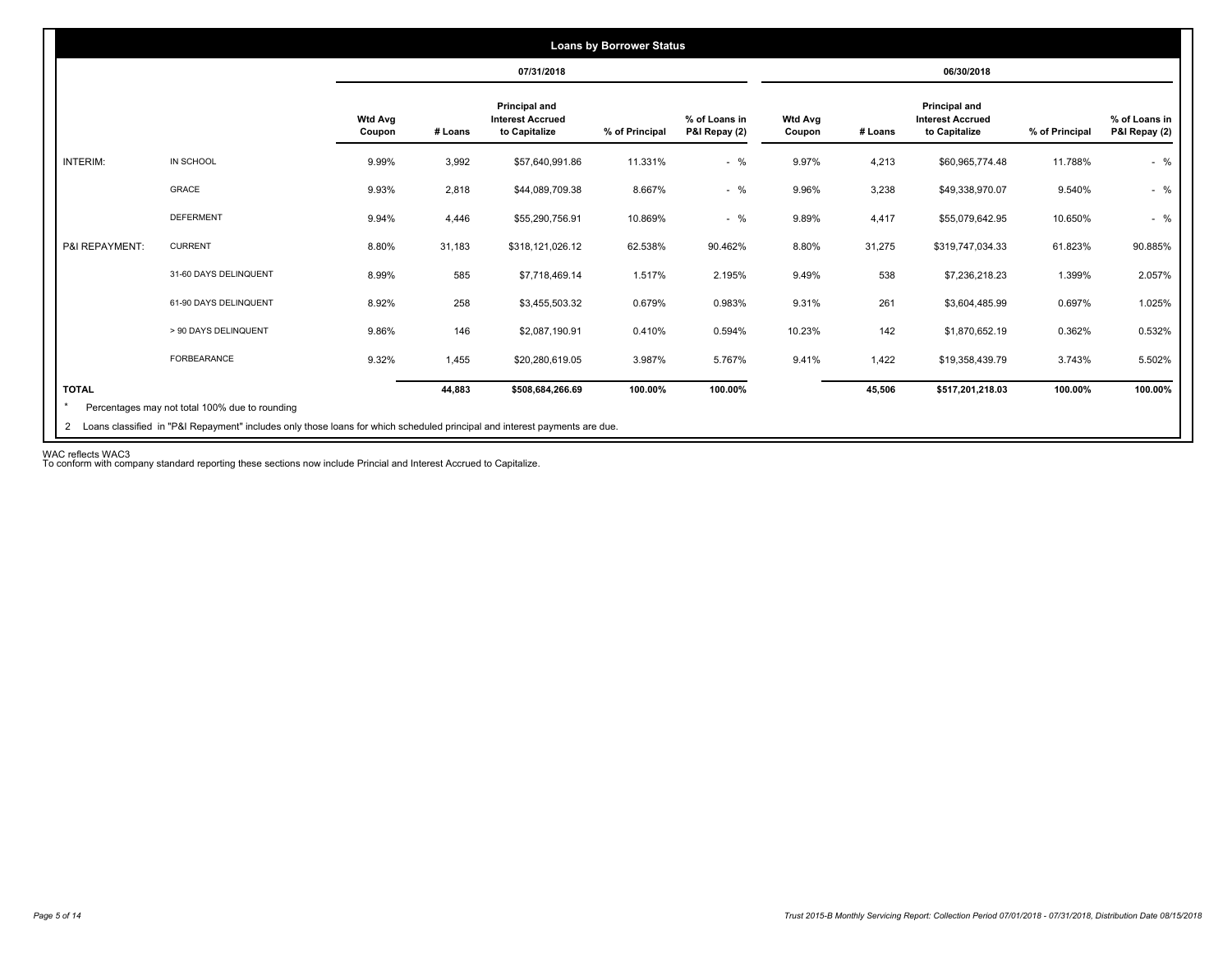|                 |                       |                          |         | 07/31/2018                                                       |                |                                |                          |         | 06/30/2018                                                |                |                                |
|-----------------|-----------------------|--------------------------|---------|------------------------------------------------------------------|----------------|--------------------------------|--------------------------|---------|-----------------------------------------------------------|----------------|--------------------------------|
|                 |                       | <b>Wtd Avg</b><br>Coupon | # Loans | <b>Principal and</b><br><b>Interest Accrued</b><br>to Capitalize | % of Principal | % of Loans in<br>P&I Repay (2) | <b>Wtd Avg</b><br>Coupon | # Loans | Principal and<br><b>Interest Accrued</b><br>to Capitalize | % of Principal | % of Loans in<br>P&I Repay (2) |
| <b>INTERIM:</b> | IN SCHOOL             | 9.99%                    | 3,992   | \$57,640,991.86                                                  | 11.331%        | $-$ %                          | 9.97%                    | 4,213   | \$60,965,774.48                                           | 11.788%        | $-$ %                          |
|                 | GRACE                 | 9.93%                    | 2,818   | \$44,089,709.38                                                  | 8.667%         | $-$ %                          | 9.96%                    | 3,238   | \$49,338,970.07                                           | 9.540%         | $-$ %                          |
|                 | <b>DEFERMENT</b>      | 9.94%                    | 4,446   | \$55,290,756.91                                                  | 10.869%        | $-$ %                          | 9.89%                    | 4,417   | \$55,079,642.95                                           | 10.650%        | $-$ %                          |
| P&I REPAYMENT:  | <b>CURRENT</b>        | 8.80%                    | 31,183  | \$318,121,026.12                                                 | 62.538%        | 90.462%                        | 8.80%                    | 31,275  | \$319,747,034.33                                          | 61.823%        | 90.885%                        |
|                 | 31-60 DAYS DELINQUENT | 8.99%                    | 585     | \$7,718,469.14                                                   | 1.517%         | 2.195%                         | 9.49%                    | 538     | \$7,236,218.23                                            | 1.399%         | 2.057%                         |
|                 | 61-90 DAYS DELINQUENT | 8.92%                    | 258     | \$3,455,503.32                                                   | 0.679%         | 0.983%                         | 9.31%                    | 261     | \$3,604,485.99                                            | 0.697%         | 1.025%                         |
|                 | > 90 DAYS DELINQUENT  | 9.86%                    | 146     | \$2,087,190.91                                                   | 0.410%         | 0.594%                         | 10.23%                   | 142     | \$1,870,652.19                                            | 0.362%         | 0.532%                         |
|                 | FORBEARANCE           | 9.32%                    | 1,455   | \$20,280,619.05                                                  | 3.987%         | 5.767%                         | 9.41%                    | 1,422   | \$19,358,439.79                                           | 3.743%         | 5.502%                         |
| <b>TOTAL</b>    |                       |                          | 44,883  | \$508,684,266.69                                                 | 100.00%        | 100.00%                        |                          | 45,506  | \$517,201,218.03                                          | 100.00%        | 100.00%                        |

WAC reflects WAC3 To conform with company standard reporting these sections now include Princial and Interest Accrued to Capitalize.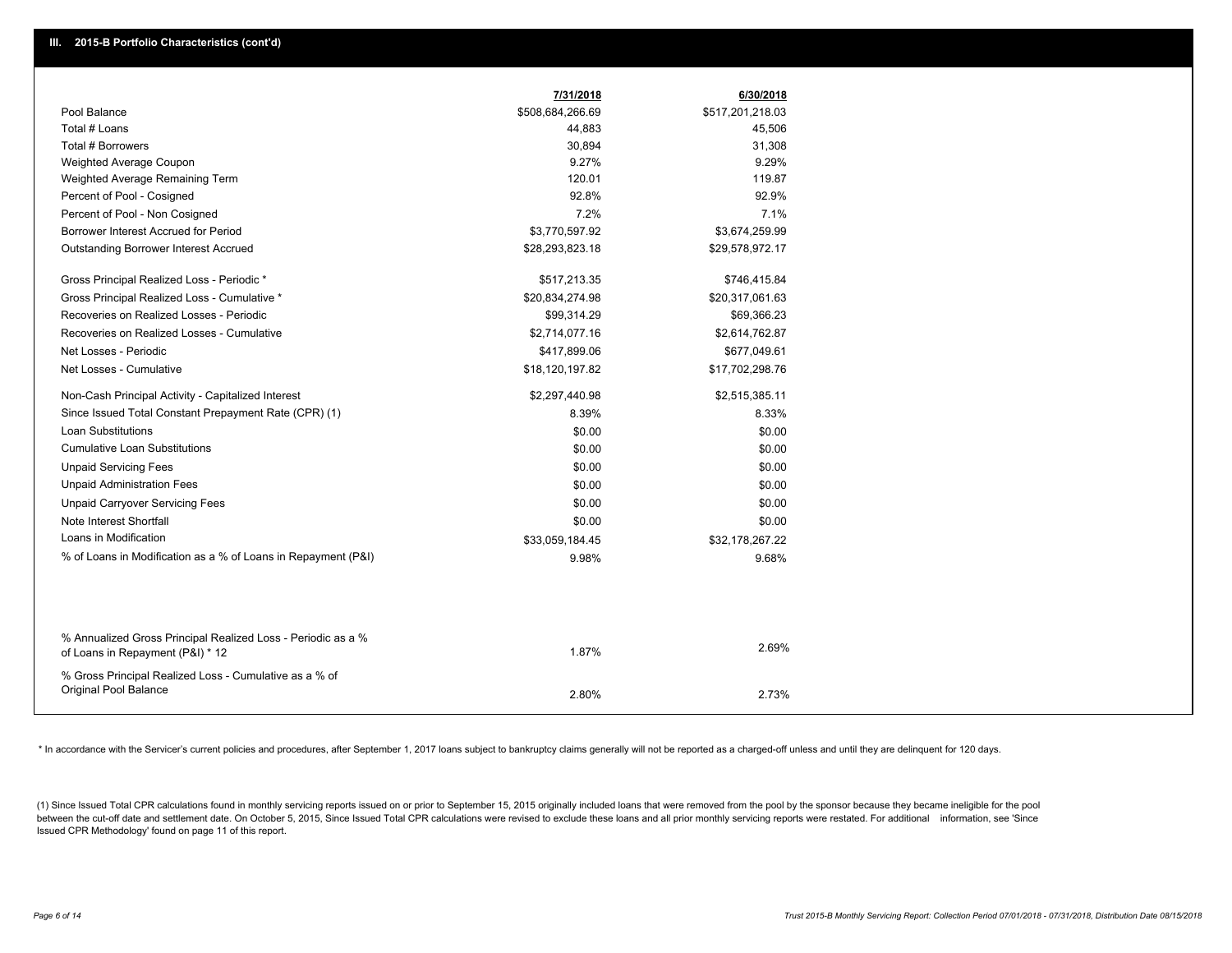|                                                                                                  | 7/31/2018        | 6/30/2018        |  |
|--------------------------------------------------------------------------------------------------|------------------|------------------|--|
| Pool Balance                                                                                     | \$508,684,266.69 | \$517,201,218.03 |  |
| Total # Loans                                                                                    | 44,883           | 45,506           |  |
| Total # Borrowers                                                                                | 30,894           | 31,308           |  |
| Weighted Average Coupon                                                                          | 9.27%            | 9.29%            |  |
| Weighted Average Remaining Term                                                                  | 120.01           | 119.87           |  |
| Percent of Pool - Cosigned                                                                       | 92.8%            | 92.9%            |  |
| Percent of Pool - Non Cosigned                                                                   | 7.2%             | 7.1%             |  |
| Borrower Interest Accrued for Period                                                             | \$3,770,597.92   | \$3,674,259.99   |  |
| Outstanding Borrower Interest Accrued                                                            | \$28,293,823.18  | \$29,578,972.17  |  |
| Gross Principal Realized Loss - Periodic *                                                       | \$517,213.35     | \$746,415.84     |  |
| Gross Principal Realized Loss - Cumulative *                                                     | \$20,834,274.98  | \$20,317,061.63  |  |
| Recoveries on Realized Losses - Periodic                                                         | \$99,314.29      | \$69,366.23      |  |
| Recoveries on Realized Losses - Cumulative                                                       | \$2,714,077.16   | \$2,614,762.87   |  |
| Net Losses - Periodic                                                                            | \$417,899.06     | \$677,049.61     |  |
| Net Losses - Cumulative                                                                          | \$18,120,197.82  | \$17,702,298.76  |  |
| Non-Cash Principal Activity - Capitalized Interest                                               | \$2,297,440.98   | \$2,515,385.11   |  |
| Since Issued Total Constant Prepayment Rate (CPR) (1)                                            | 8.39%            | 8.33%            |  |
| <b>Loan Substitutions</b>                                                                        | \$0.00           | \$0.00           |  |
| <b>Cumulative Loan Substitutions</b>                                                             | \$0.00           | \$0.00           |  |
| <b>Unpaid Servicing Fees</b>                                                                     | \$0.00           | \$0.00           |  |
| <b>Unpaid Administration Fees</b>                                                                | \$0.00           | \$0.00           |  |
| <b>Unpaid Carryover Servicing Fees</b>                                                           | \$0.00           | \$0.00           |  |
| Note Interest Shortfall                                                                          | \$0.00           | \$0.00           |  |
| Loans in Modification                                                                            | \$33,059,184.45  | \$32,178,267.22  |  |
| % of Loans in Modification as a % of Loans in Repayment (P&I)                                    | 9.98%            | 9.68%            |  |
|                                                                                                  |                  |                  |  |
| % Annualized Gross Principal Realized Loss - Periodic as a %<br>of Loans in Repayment (P&I) * 12 | 1.87%            | 2.69%            |  |
| % Gross Principal Realized Loss - Cumulative as a % of<br><b>Original Pool Balance</b>           | 2.80%            | 2.73%            |  |

\* In accordance with the Servicer's current policies and procedures, after September 1, 2017 loans subject to bankruptcy claims generally will not be reported as a charged-off unless and until they are delinguent for 120 d

(1) Since Issued Total CPR calculations found in monthly servicing reports issued on or prior to September 15, 2015 originally included loans that were removed from the pool by the sponsor because they became ineligible fo between the cut-off date and settlement date. On October 5, 2015, Since Issued Total CPR calculations were revised to exclude these loans and all prior monthly servicing reports were restated. For additional information, s Issued CPR Methodology' found on page 11 of this report.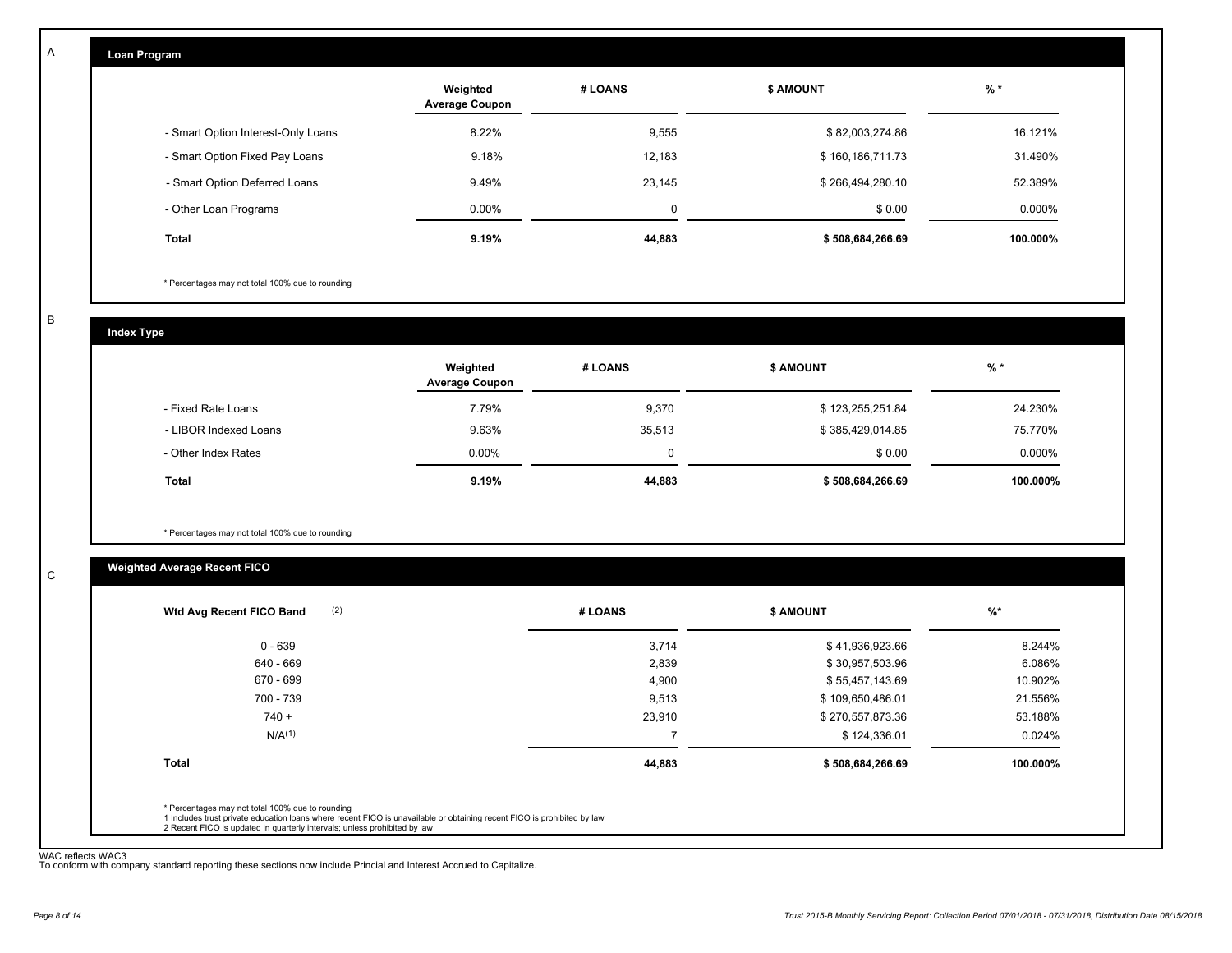| Loan Program                       |                                   |             |                  |          |
|------------------------------------|-----------------------------------|-------------|------------------|----------|
|                                    | Weighted<br><b>Average Coupon</b> | # LOANS     | <b>\$ AMOUNT</b> | $%$ *    |
| - Smart Option Interest-Only Loans | 8.22%                             | 9,555       | \$82,003,274.86  | 16.121%  |
| - Smart Option Fixed Pay Loans     | 9.18%                             | 12,183      | \$160,186,711.73 | 31.490%  |
| - Smart Option Deferred Loans      | 9.49%                             | 23,145      | \$266,494,280.10 | 52.389%  |
| - Other Loan Programs              | 0.00%                             | $\mathbf 0$ | \$0.00           | 0.000%   |
| Total                              | 9.19%                             | 44,883      | \$508,684,266.69 | 100.000% |

\* Percentages may not total 100% due to rounding

B

C

A

| <b>Index Type</b>     |                                   |          |                  |          |  |  |
|-----------------------|-----------------------------------|----------|------------------|----------|--|--|
|                       | Weighted<br><b>Average Coupon</b> | # LOANS  | <b>\$ AMOUNT</b> | $%$ *    |  |  |
| - Fixed Rate Loans    | 7.79%                             | 9,370    | \$123,255,251.84 | 24.230%  |  |  |
| - LIBOR Indexed Loans | 9.63%                             | 35,513   | \$385,429,014.85 | 75.770%  |  |  |
| - Other Index Rates   | $0.00\%$                          | $\Omega$ | \$0.00           | 0.000%   |  |  |
| <b>Total</b>          | 9.19%                             | 44,883   | \$508,684,266.69 | 100.000% |  |  |

\* Percentages may not total 100% due to rounding

# **Weighted Average Recent FICO**

| 0 - 639<br>640 - 669 | 3,714  | \$41,936,923.66  | 8.244%   |
|----------------------|--------|------------------|----------|
|                      |        |                  |          |
|                      | 2,839  | \$30,957,503.96  | 6.086%   |
| 670 - 699            | 4,900  | \$55,457,143.69  | 10.902%  |
| 700 - 739            | 9,513  | \$109,650,486.01 | 21.556%  |
| $740 +$              | 23,910 | \$270,557,873.36 | 53.188%  |
| N/A <sup>(1)</sup>   | -      | \$124,336.01     | 0.024%   |
| <b>Total</b>         | 44,883 | \$508,684,266.69 | 100.000% |

WAC reflects WAC3 To conform with company standard reporting these sections now include Princial and Interest Accrued to Capitalize.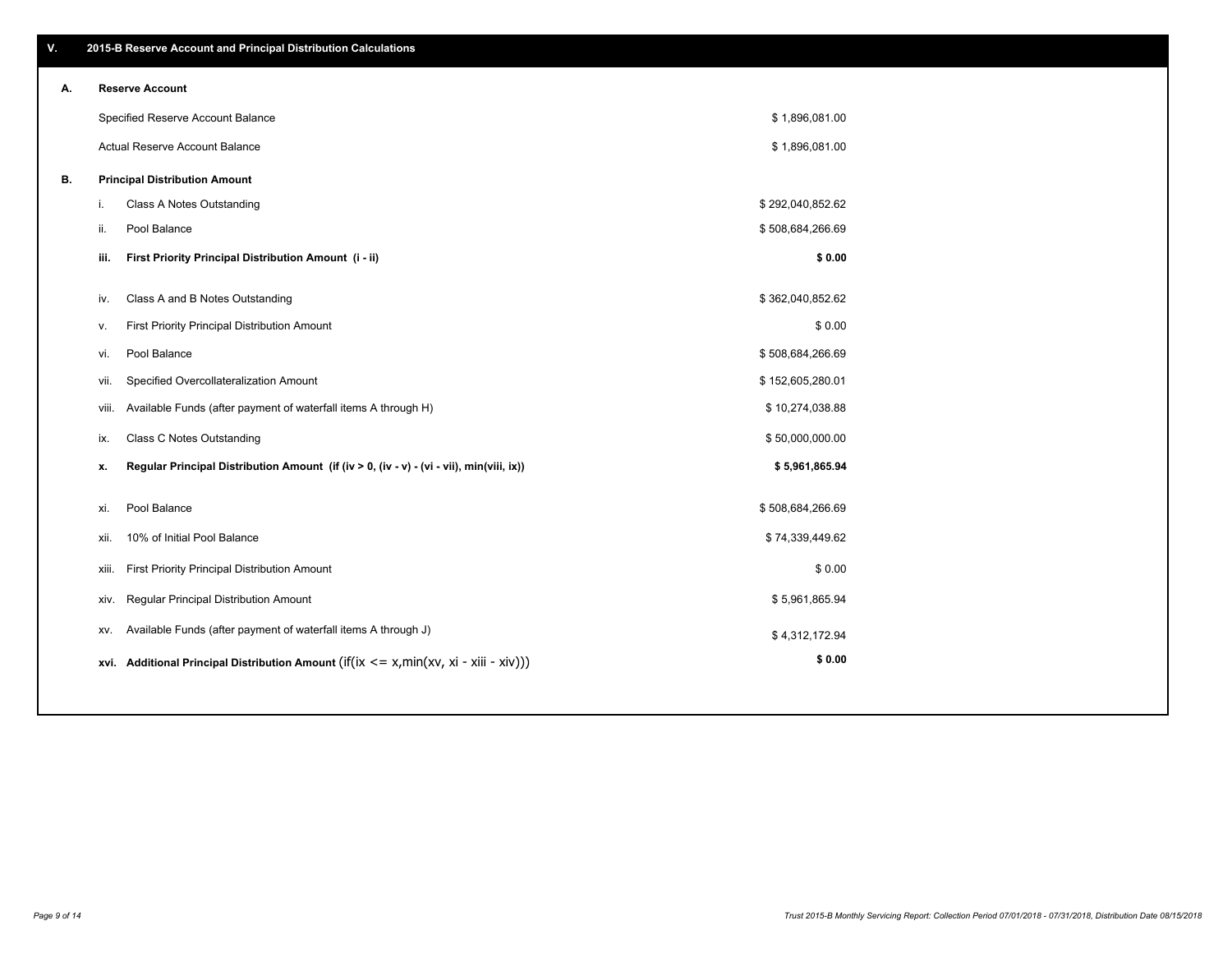\$ 1,896,081.00 \$ 1,896,081.00

| А. | <b>Reserve Account</b>               |
|----|--------------------------------------|
|    | Specified Reserve Account Balance    |
|    | Actual Reserve Account Balance       |
| В. | <b>Principal Distribution Amount</b> |

| i.    | Class A Notes Outstanding                                                                           | \$292,040,852.62 |  |
|-------|-----------------------------------------------------------------------------------------------------|------------------|--|
| ii.   | Pool Balance                                                                                        | \$508,684,266.69 |  |
| iii.  | First Priority Principal Distribution Amount (i - ii)                                               | \$0.00           |  |
|       |                                                                                                     |                  |  |
| iv.   | Class A and B Notes Outstanding                                                                     | \$362,040,852.62 |  |
| ۷.    | First Priority Principal Distribution Amount                                                        | \$0.00           |  |
| vi.   | Pool Balance                                                                                        | \$508,684,266.69 |  |
| vii.  | Specified Overcollateralization Amount                                                              | \$152,605,280.01 |  |
| viii. | Available Funds (after payment of waterfall items A through H)                                      | \$10,274,038.88  |  |
| ix.   | <b>Class C Notes Outstanding</b>                                                                    | \$50,000,000.00  |  |
| х.    | Regular Principal Distribution Amount (if (iv > 0, (iv - v) - (vi - vii), min(viii, ix))            | \$5,961,865.94   |  |
|       |                                                                                                     |                  |  |
| xi.   | Pool Balance                                                                                        | \$508,684,266.69 |  |
| xii.  | 10% of Initial Pool Balance                                                                         | \$74,339,449.62  |  |
| xiii. | First Priority Principal Distribution Amount                                                        | \$0.00           |  |
| xiv.  | <b>Regular Principal Distribution Amount</b>                                                        | \$5,961,865.94   |  |
| XV.   | Available Funds (after payment of waterfall items A through J)                                      | \$4,312,172.94   |  |
|       | xvi. Additional Principal Distribution Amount (if( $ix \le x$ , min( $xv$ , $xi$ - $xiii - xiv$ ))) | \$0.00           |  |

# **V. 2015-B Reserve Account and Principal Distribution Calculations**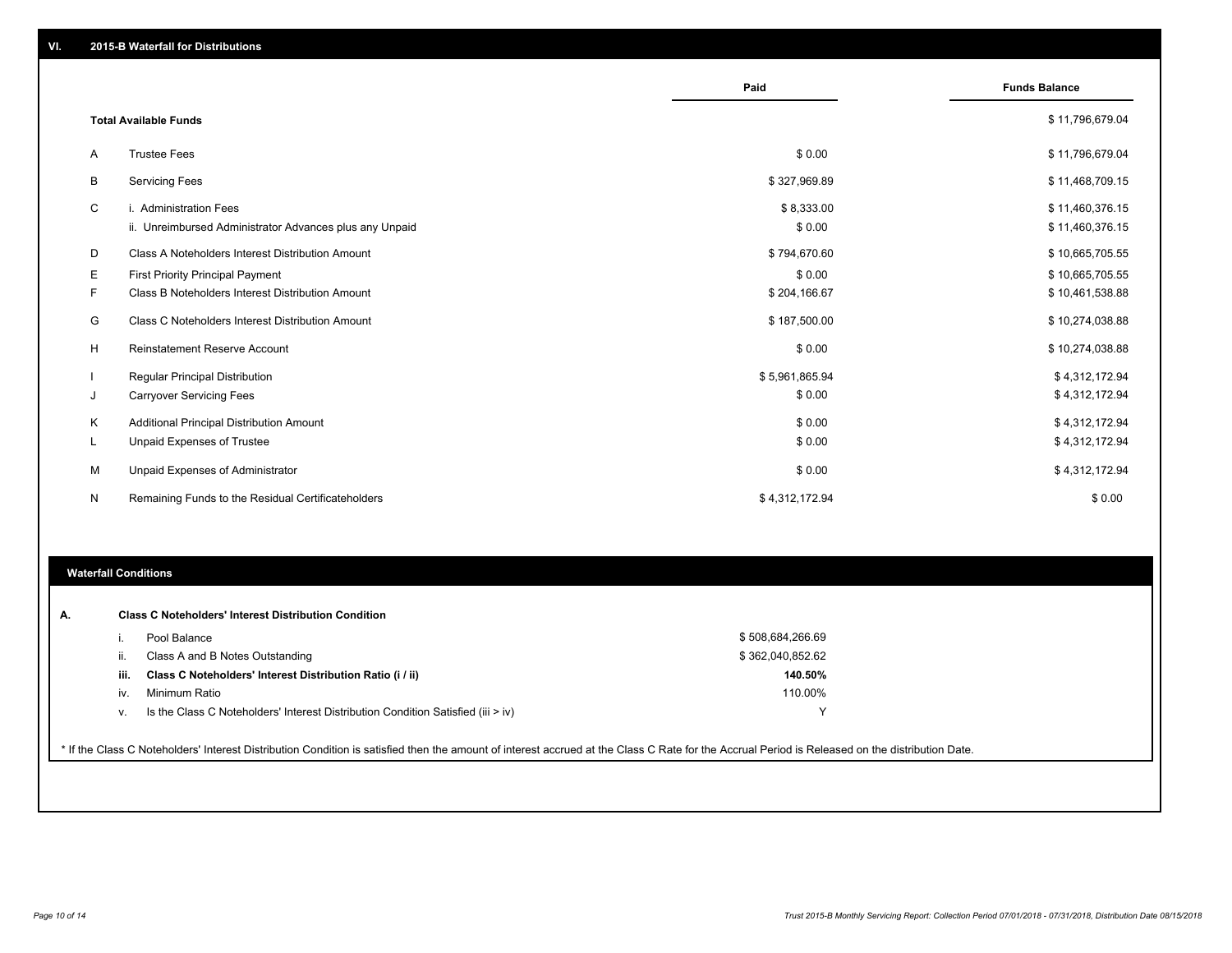|    |                                                         | Paid           | <b>Funds Balance</b> |
|----|---------------------------------------------------------|----------------|----------------------|
|    | <b>Total Available Funds</b>                            |                | \$11,796,679.04      |
| Α  | <b>Trustee Fees</b>                                     | \$0.00         | \$11,796,679.04      |
| В  | <b>Servicing Fees</b>                                   | \$327,969.89   | \$11,468,709.15      |
| C  | i. Administration Fees                                  | \$8,333.00     | \$11,460,376.15      |
|    | ii. Unreimbursed Administrator Advances plus any Unpaid | \$0.00         | \$11,460,376.15      |
| D  | Class A Noteholders Interest Distribution Amount        | \$794,670.60   | \$10,665,705.55      |
| Е  | First Priority Principal Payment                        | \$0.00         | \$10,665,705.55      |
| F. | Class B Noteholders Interest Distribution Amount        | \$204,166.67   | \$10,461,538.88      |
| G  | Class C Noteholders Interest Distribution Amount        | \$187,500.00   | \$10,274,038.88      |
| н  | <b>Reinstatement Reserve Account</b>                    | \$0.00         | \$10,274,038.88      |
|    | <b>Regular Principal Distribution</b>                   | \$5,961,865.94 | \$4,312,172.94       |
| J  | <b>Carryover Servicing Fees</b>                         | \$0.00         | \$4,312,172.94       |
| Κ  | Additional Principal Distribution Amount                | \$0.00         | \$4,312,172.94       |
| L  | Unpaid Expenses of Trustee                              | \$0.00         | \$4,312,172.94       |
| М  | Unpaid Expenses of Administrator                        | \$0.00         | \$4,312,172.94       |
| N  | Remaining Funds to the Residual Certificateholders      | \$4,312,172.94 | \$0.00               |

# **Waterfall Conditions**

| А. |      | <b>Class C Noteholders' Interest Distribution Condition</b>                        |                  |  |
|----|------|------------------------------------------------------------------------------------|------------------|--|
|    |      | Pool Balance                                                                       | \$508,684,266.69 |  |
|    | н.   | Class A and B Notes Outstanding                                                    | \$362.040.852.62 |  |
|    | iii. | Class C Noteholders' Interest Distribution Ratio (i / ii)                          | 140.50%          |  |
|    | IV.  | Minimum Ratio                                                                      | 110.00%          |  |
|    | v.   | Is the Class C Noteholders' Interest Distribution Condition Satisfied (iii $>$ iv) | v                |  |

\* If the Class C Noteholders' Interest Distribution Condition is satisfied then the amount of interest accrued at the Class C Rate for the Accrual Period is Released on the distribution Date.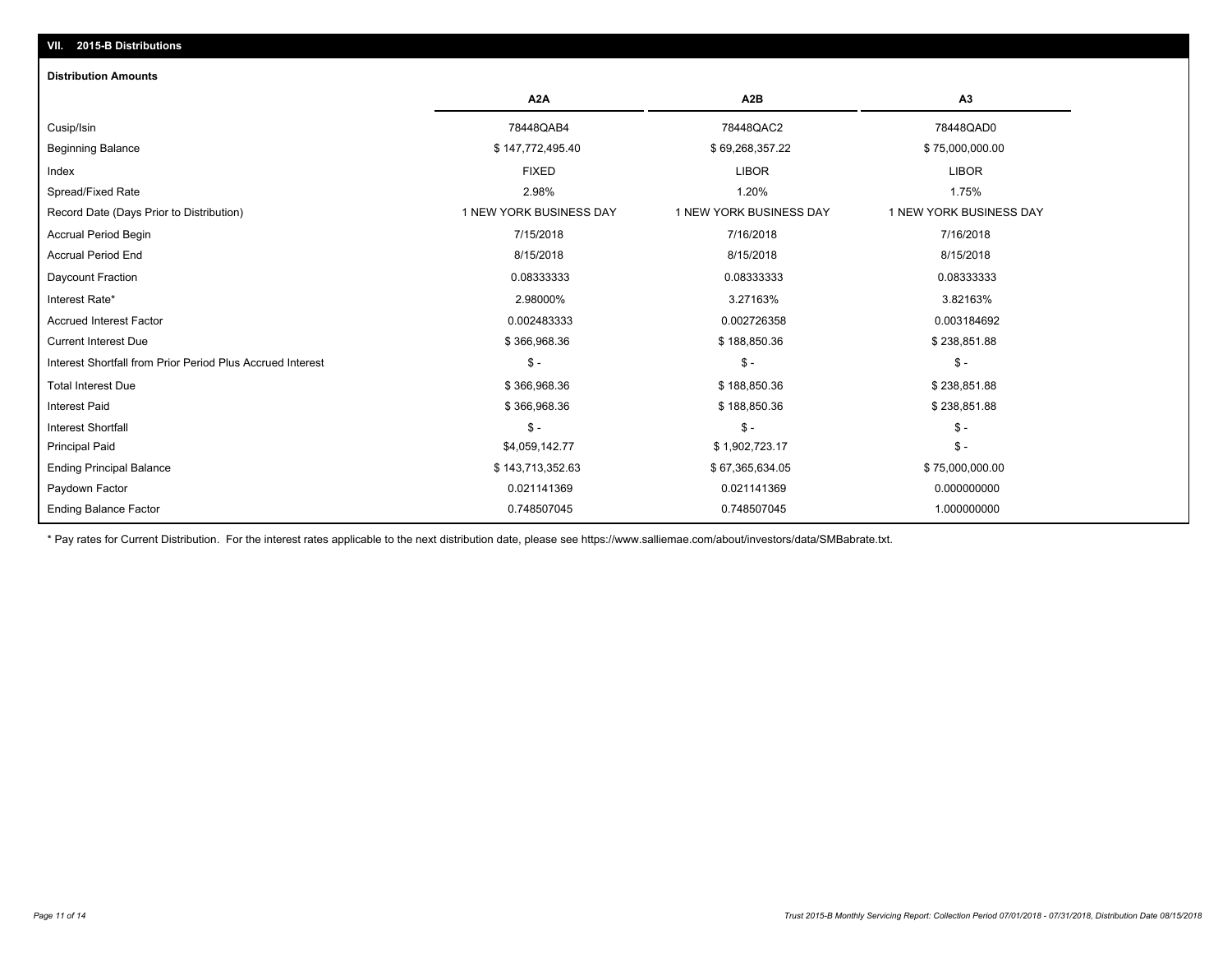# **VII. 2015-B Distributions**

### **Distribution Amounts**

|                                                            | A <sub>2</sub> A        | A2B                     | A <sub>3</sub>          |
|------------------------------------------------------------|-------------------------|-------------------------|-------------------------|
| Cusip/Isin                                                 | 78448QAB4               | 78448QAC2               | 78448QAD0               |
| <b>Beginning Balance</b>                                   | \$147,772,495.40        | \$69,268,357.22         | \$75,000,000.00         |
| Index                                                      | <b>FIXED</b>            | <b>LIBOR</b>            | <b>LIBOR</b>            |
| Spread/Fixed Rate                                          | 2.98%                   | 1.20%                   | 1.75%                   |
| Record Date (Days Prior to Distribution)                   | 1 NEW YORK BUSINESS DAY | 1 NEW YORK BUSINESS DAY | 1 NEW YORK BUSINESS DAY |
| <b>Accrual Period Begin</b>                                | 7/15/2018               | 7/16/2018               | 7/16/2018               |
| <b>Accrual Period End</b>                                  | 8/15/2018               | 8/15/2018               | 8/15/2018               |
| Daycount Fraction                                          | 0.08333333              | 0.08333333              | 0.08333333              |
| Interest Rate*                                             | 2.98000%                | 3.27163%                | 3.82163%                |
| <b>Accrued Interest Factor</b>                             | 0.002483333             | 0.002726358             | 0.003184692             |
| <b>Current Interest Due</b>                                | \$366,968.36            | \$188,850.36            | \$238,851.88            |
| Interest Shortfall from Prior Period Plus Accrued Interest | $S -$                   | $S -$                   | $$ -$                   |
| <b>Total Interest Due</b>                                  | \$366,968.36            | \$188,850.36            | \$238,851.88            |
| <b>Interest Paid</b>                                       | \$366,968.36            | \$188,850.36            | \$238,851.88            |
| <b>Interest Shortfall</b>                                  | $\frac{2}{3}$ -         | $S -$                   | \$ -                    |
| <b>Principal Paid</b>                                      | \$4,059,142.77          | \$1,902,723.17          | $$ -$                   |
| <b>Ending Principal Balance</b>                            | \$143,713,352.63        | \$67,365,634.05         | \$75,000,000.00         |
| Paydown Factor                                             | 0.021141369             | 0.021141369             | 0.000000000             |
| <b>Ending Balance Factor</b>                               | 0.748507045             | 0.748507045             | 1.000000000             |

\* Pay rates for Current Distribution. For the interest rates applicable to the next distribution date, please see https://www.salliemae.com/about/investors/data/SMBabrate.txt.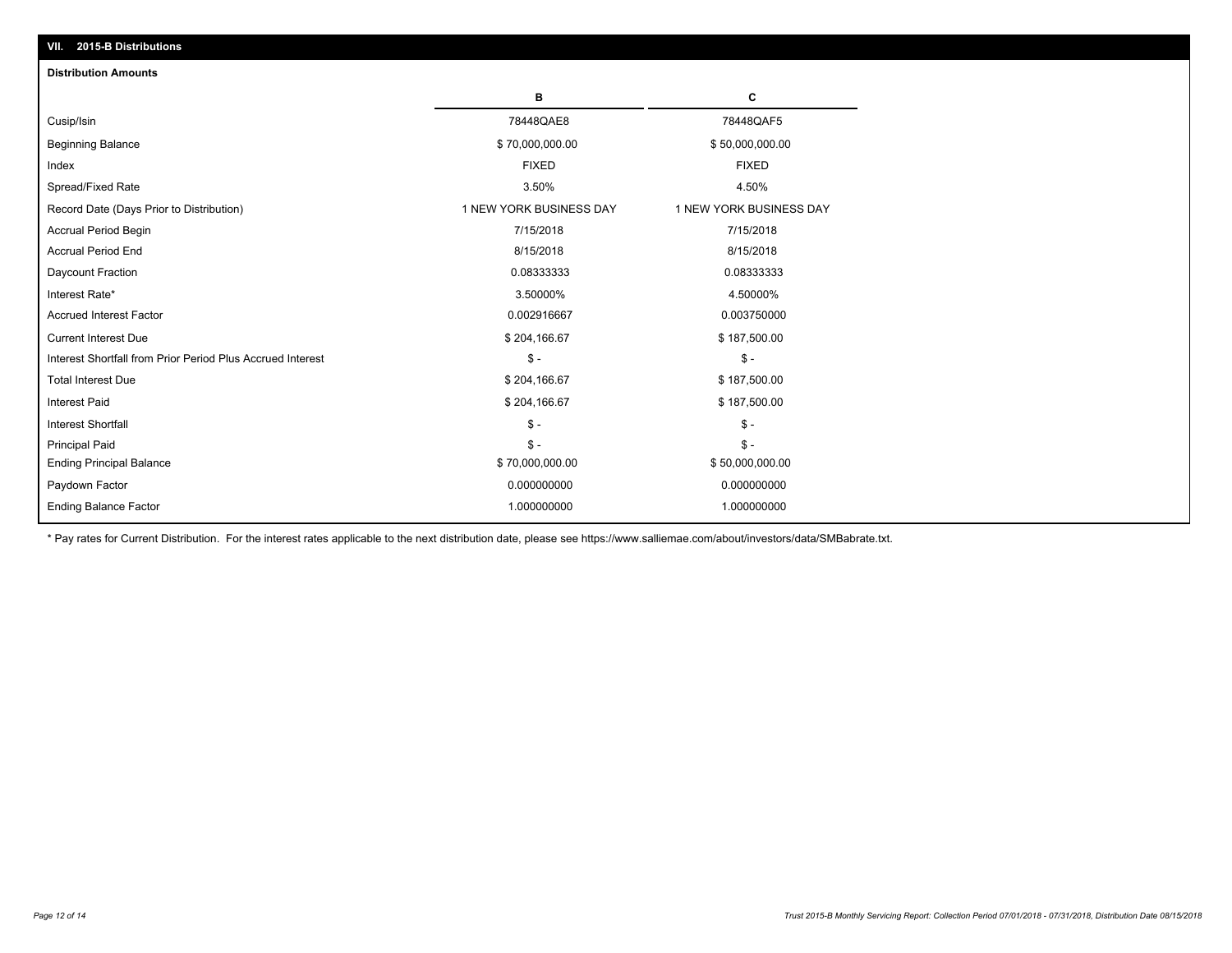| VII. 2015-B Distributions                                  |                         |                         |
|------------------------------------------------------------|-------------------------|-------------------------|
| <b>Distribution Amounts</b>                                |                         |                         |
|                                                            | в                       | C                       |
| Cusip/Isin                                                 | 78448QAE8               | 78448QAF5               |
| <b>Beginning Balance</b>                                   | \$70,000,000.00         | \$50,000,000.00         |
| Index                                                      | <b>FIXED</b>            | <b>FIXED</b>            |
| Spread/Fixed Rate                                          | 3.50%                   | 4.50%                   |
| Record Date (Days Prior to Distribution)                   | 1 NEW YORK BUSINESS DAY | 1 NEW YORK BUSINESS DAY |
| <b>Accrual Period Begin</b>                                | 7/15/2018               | 7/15/2018               |
| <b>Accrual Period End</b>                                  | 8/15/2018               | 8/15/2018               |
| Daycount Fraction                                          | 0.08333333              | 0.08333333              |
| Interest Rate*                                             | 3.50000%                | 4.50000%                |
| <b>Accrued Interest Factor</b>                             | 0.002916667             | 0.003750000             |
| <b>Current Interest Due</b>                                | \$204,166.67            | \$187,500.00            |
| Interest Shortfall from Prior Period Plus Accrued Interest | $\mathsf{\$}$ -         | $\mathsf{\$}$ -         |
| <b>Total Interest Due</b>                                  | \$204,166.67            | \$187,500.00            |
| <b>Interest Paid</b>                                       | \$204,166.67            | \$187,500.00            |
| <b>Interest Shortfall</b>                                  | $\mathcal{S}$ -         | $\mathsf{\$}$ -         |
| <b>Principal Paid</b>                                      | $\mathsf{\$}$ -         | $\mathsf{\$}$ -         |
| <b>Ending Principal Balance</b>                            | \$70,000,000.00         | \$50,000,000.00         |
| Paydown Factor                                             | 0.000000000             | 0.000000000             |
| <b>Ending Balance Factor</b>                               | 1.000000000             | 1.000000000             |

\* Pay rates for Current Distribution. For the interest rates applicable to the next distribution date, please see https://www.salliemae.com/about/investors/data/SMBabrate.txt.